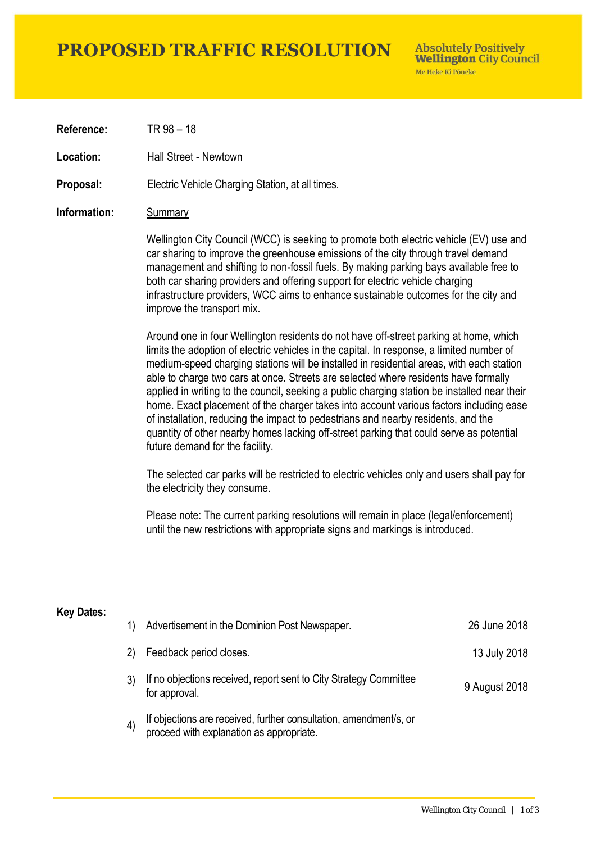# **PROPOSED TRAFFIC RESOLUTION**

**Absolutely Positively Wellington City Council** Me Heke Ki Pôneke

**Reference:** TR 98 – 18

**Location:** Hall Street - Newtown

**Proposal:** Electric Vehicle Charging Station, at all times.

### **Information:** Summary

Wellington City Council (WCC) is seeking to promote both electric vehicle (EV) use and car sharing to improve the greenhouse emissions of the city through travel demand management and shifting to non-fossil fuels. By making parking bays available free to both car sharing providers and offering support for electric vehicle charging infrastructure providers, WCC aims to enhance sustainable outcomes for the city and improve the transport mix.

Around one in four Wellington residents do not have off-street parking at home, which limits the adoption of electric vehicles in the capital. In response, a limited number of medium-speed charging stations will be installed in residential areas, with each station able to charge two cars at once. Streets are selected where residents have formally applied in writing to the council, seeking a public charging station be installed near their home. Exact placement of the charger takes into account various factors including ease of installation, reducing the impact to pedestrians and nearby residents, and the quantity of other nearby homes lacking off-street parking that could serve as potential future demand for the facility.

The selected car parks will be restricted to electric vehicles only and users shall pay for the electricity they consume.

Please note: The current parking resolutions will remain in place (legal/enforcement) until the new restrictions with appropriate signs and markings is introduced.

#### **Key Dates:**

| 1)                | Advertisement in the Dominion Post Newspaper.                                                                 | 26 June 2018  |
|-------------------|---------------------------------------------------------------------------------------------------------------|---------------|
| (2)               | Feedback period closes.                                                                                       | 13 July 2018  |
|                   | If no objections received, report sent to City Strategy Committee<br>for approval.                            | 9 August 2018 |
| $\left( 4\right)$ | If objections are received, further consultation, amendment/s, or<br>proceed with explanation as appropriate. |               |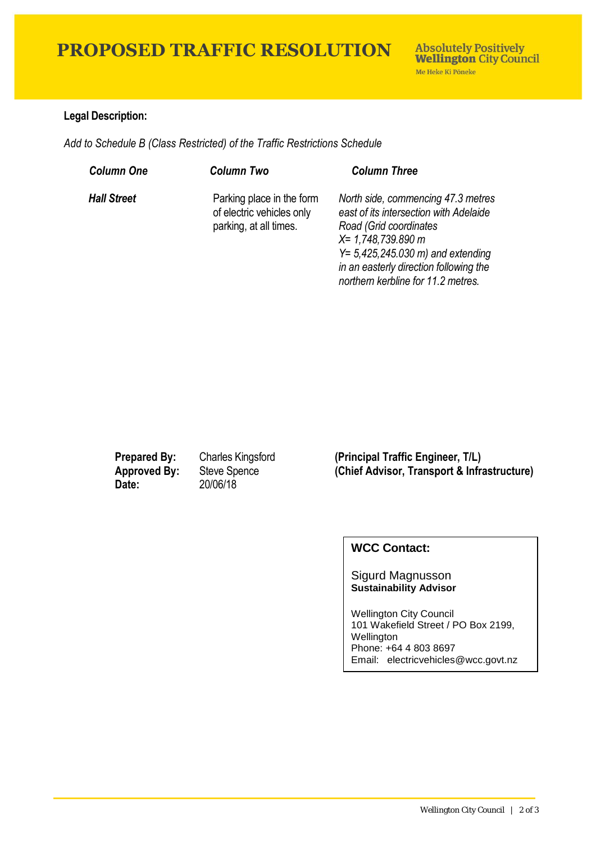# **PROPOSED TRAFFIC RESOLUTION**

## **Legal Description:**

*Add to Schedule B (Class Restricted) of the Traffic Restrictions Schedule* 

| <b>Column One</b>  | <b>Column Two</b>                                                                | <b>Column Three</b>                                                                                                                                                                                                                                            |
|--------------------|----------------------------------------------------------------------------------|----------------------------------------------------------------------------------------------------------------------------------------------------------------------------------------------------------------------------------------------------------------|
| <b>Hall Street</b> | Parking place in the form<br>of electric vehicles only<br>parking, at all times. | North side, commencing 47.3 metres<br>east of its intersection with Adelaide<br>Road (Grid coordinates<br>$X = 1,748,739.890$ m<br>$Y = 5,425,245.030 \text{ m}$ and extending<br>in an easterly direction following the<br>northern kerbline for 11.2 metres. |

**Date:** 20/06/18

**Prepared By:** Charles Kingsford **(Principal Traffic Engineer, T/L) Approved By:** Steve Spence **(Chief Advisor, Transport & Infrastructure)**

## **WCC Contact:**

#### Sigurd Magnusson **Sustainability Advisor**

Wellington City Council 101 Wakefield Street / PO Box 2199, Wellington Phone: +64 4 803 8697 Email: electricvehicles@wcc.govt.nz